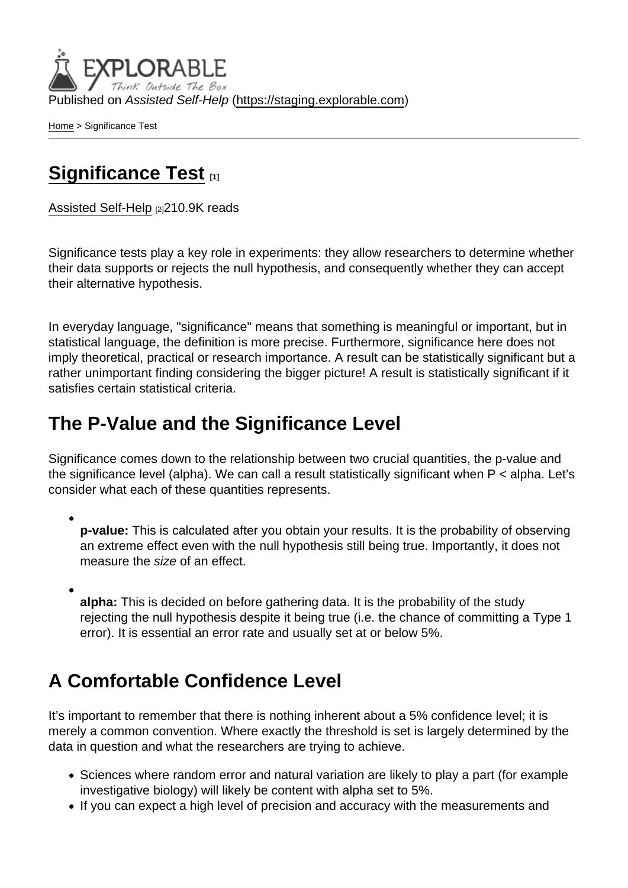Published on Assisted Self-Help [\(https://staging.explorable.com](https://staging.explorable.com))

[Home](https://staging.explorable.com/en) > Significance Test

## [Significance Test](https://staging.explorable.com/en/significance-test) [1]

[Assisted Self-Help](https://staging.explorable.com/en) [2]210.9K reads

Significance tests play a key role in experiments: they allow researchers to determine whether their data supports or rejects the null hypothesis, and consequently whether they can accept their alternative hypothesis.

In everyday language, "significance" means that something is meaningful or important, but in statistical language, the definition is more precise. Furthermore, significance here does not imply theoretical, practical or research importance. A result can be statistically significant but a rather unimportant finding considering the bigger picture! A result is statistically significant if it satisfies certain statistical criteria.

## The P-Value and the Significance Level

Significance comes down to the relationship between two crucial quantities, the p-value and the significance level (alpha). We can call a result statistically significant when P < alpha. Let's consider what each of these quantities represents.

p-value: This is calculated after you obtain your results. It is the probability of observing an extreme effect even with the null hypothesis still being true. Importantly, it does not measure the size of an effect.

alpha: This is decided on before gathering data. It is the probability of the study rejecting the null hypothesis despite it being true (i.e. the chance of committing a Type 1 error). It is essential an error rate and usually set at or below 5%.

## A Comfortable Confidence Level

It's important to remember that there is nothing inherent about a 5% confidence level; it is merely a common convention. Where exactly the threshold is set is largely determined by the data in question and what the researchers are trying to achieve.

- Sciences where random error and natural variation are likely to play a part (for example investigative biology) will likely be content with alpha set to 5%.
- If you can expect a high level of precision and accuracy with the measurements and